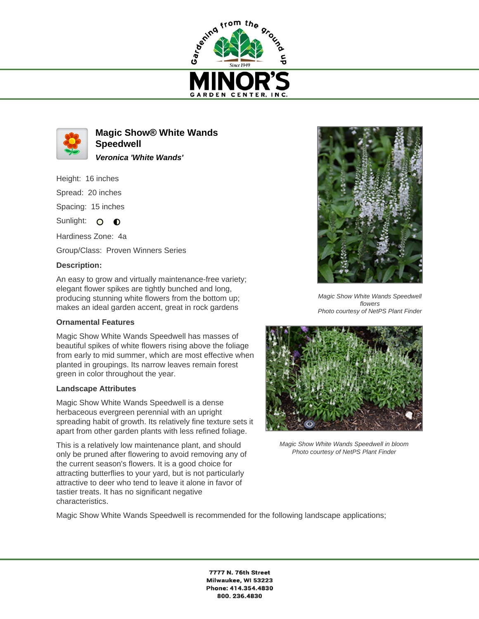



**Magic Show® White Wands Speedwell Veronica 'White Wands'**

Height: 16 inches Spread: 20 inches

Spacing: 15 inches

Sunlight:  $\circ$  $\bullet$ 

Hardiness Zone: 4a

Group/Class: Proven Winners Series

## **Description:**

An easy to grow and virtually maintenance-free variety; elegant flower spikes are tightly bunched and long, producing stunning white flowers from the bottom up; makes an ideal garden accent, great in rock gardens

## **Ornamental Features**

Magic Show White Wands Speedwell has masses of beautiful spikes of white flowers rising above the foliage from early to mid summer, which are most effective when planted in groupings. Its narrow leaves remain forest green in color throughout the year.

## **Landscape Attributes**

Magic Show White Wands Speedwell is a dense herbaceous evergreen perennial with an upright spreading habit of growth. Its relatively fine texture sets it apart from other garden plants with less refined foliage.

This is a relatively low maintenance plant, and should only be pruned after flowering to avoid removing any of the current season's flowers. It is a good choice for attracting butterflies to your yard, but is not particularly attractive to deer who tend to leave it alone in favor of tastier treats. It has no significant negative characteristics.



Magic Show White Wands Speedwell flowers Photo courtesy of NetPS Plant Finder



Magic Show White Wands Speedwell in bloom Photo courtesy of NetPS Plant Finder

Magic Show White Wands Speedwell is recommended for the following landscape applications;

7777 N. 76th Street Milwaukee, WI 53223 Phone: 414.354.4830 800.236.4830